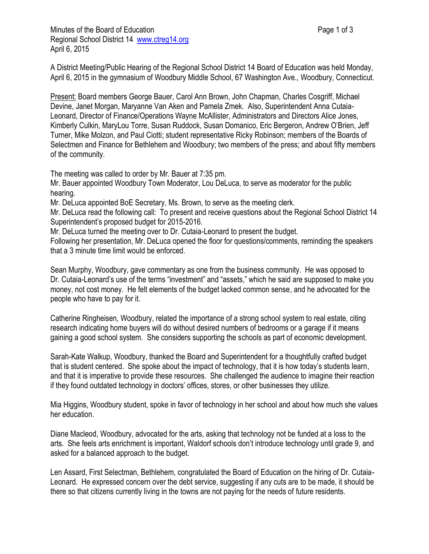Minutes of the Board of Education **Page 1 of 3** Page 1 of 3 Regional School District 14 [www.ctreg14.org](http://www.ctreg14.org/) April 6, 2015

A District Meeting/Public Hearing of the Regional School District 14 Board of Education was held Monday, April 6, 2015 in the gymnasium of Woodbury Middle School, 67 Washington Ave., Woodbury, Connecticut.

Present: Board members George Bauer, Carol Ann Brown, John Chapman, Charles Cosgriff, Michael Devine, Janet Morgan, Maryanne Van Aken and Pamela Zmek. Also, Superintendent Anna Cutaia-Leonard, Director of Finance/Operations Wayne McAllister, Administrators and Directors Alice Jones, Kimberly Culkin, MaryLou Torre, Susan Ruddock, Susan Domanico, Eric Bergeron, Andrew O'Brien, Jeff Turner, Mike Molzon, and Paul Ciotti; student representative Ricky Robinson; members of the Boards of Selectmen and Finance for Bethlehem and Woodbury; two members of the press; and about fifty members of the community.

The meeting was called to order by Mr. Bauer at 7:35 pm.

Mr. Bauer appointed Woodbury Town Moderator, Lou DeLuca, to serve as moderator for the public hearing.

Mr. DeLuca appointed BoE Secretary, Ms. Brown, to serve as the meeting clerk.

Mr. DeLuca read the following call: To present and receive questions about the Regional School District 14 Superintendent's proposed budget for 2015-2016.

Mr. DeLuca turned the meeting over to Dr. Cutaia-Leonard to present the budget.

Following her presentation, Mr. DeLuca opened the floor for questions/comments, reminding the speakers that a 3 minute time limit would be enforced.

Sean Murphy, Woodbury, gave commentary as one from the business community. He was opposed to Dr. Cutaia-Leonard's use of the terms "investment" and "assets," which he said are supposed to make you money, not cost money. He felt elements of the budget lacked common sense, and he advocated for the people who have to pay for it.

Catherine Ringheisen, Woodbury, related the importance of a strong school system to real estate, citing research indicating home buyers will do without desired numbers of bedrooms or a garage if it means gaining a good school system. She considers supporting the schools as part of economic development.

Sarah-Kate Walkup, Woodbury, thanked the Board and Superintendent for a thoughtfully crafted budget that is student centered. She spoke about the impact of technology, that it is how today's students learn, and that it is imperative to provide these resources. She challenged the audience to imagine their reaction if they found outdated technology in doctors' offices, stores, or other businesses they utilize.

Mia Higgins, Woodbury student, spoke in favor of technology in her school and about how much she values her education.

Diane Macleod, Woodbury, advocated for the arts, asking that technology not be funded at a loss to the arts. She feels arts enrichment is important, Waldorf schools don't introduce technology until grade 9, and asked for a balanced approach to the budget.

Len Assard, First Selectman, Bethlehem, congratulated the Board of Education on the hiring of Dr. Cutaia-Leonard. He expressed concern over the debt service, suggesting if any cuts are to be made, it should be there so that citizens currently living in the towns are not paying for the needs of future residents.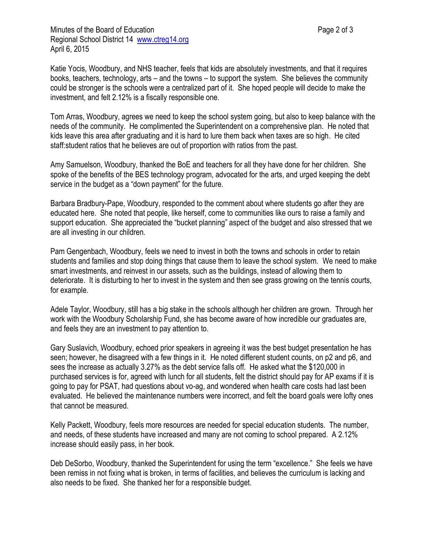Katie Yocis, Woodbury, and NHS teacher, feels that kids are absolutely investments, and that it requires books, teachers, technology, arts – and the towns – to support the system. She believes the community could be stronger is the schools were a centralized part of it. She hoped people will decide to make the investment, and felt 2.12% is a fiscally responsible one.

Tom Arras, Woodbury, agrees we need to keep the school system going, but also to keep balance with the needs of the community. He complimented the Superintendent on a comprehensive plan. He noted that kids leave this area after graduating and it is hard to lure them back when taxes are so high. He cited staff:student ratios that he believes are out of proportion with ratios from the past.

Amy Samuelson, Woodbury, thanked the BoE and teachers for all they have done for her children. She spoke of the benefits of the BES technology program, advocated for the arts, and urged keeping the debt service in the budget as a "down payment" for the future.

Barbara Bradbury-Pape, Woodbury, responded to the comment about where students go after they are educated here. She noted that people, like herself, come to communities like ours to raise a family and support education. She appreciated the "bucket planning" aspect of the budget and also stressed that we are all investing in our children.

Pam Gengenbach, Woodbury, feels we need to invest in both the towns and schools in order to retain students and families and stop doing things that cause them to leave the school system. We need to make smart investments, and reinvest in our assets, such as the buildings, instead of allowing them to deteriorate. It is disturbing to her to invest in the system and then see grass growing on the tennis courts, for example.

Adele Taylor, Woodbury, still has a big stake in the schools although her children are grown. Through her work with the Woodbury Scholarship Fund, she has become aware of how incredible our graduates are, and feels they are an investment to pay attention to.

Gary Suslavich, Woodbury, echoed prior speakers in agreeing it was the best budget presentation he has seen; however, he disagreed with a few things in it. He noted different student counts, on p2 and p6, and sees the increase as actually 3.27% as the debt service falls off. He asked what the \$120,000 in purchased services is for, agreed with lunch for all students, felt the district should pay for AP exams if it is going to pay for PSAT, had questions about vo-ag, and wondered when health care costs had last been evaluated. He believed the maintenance numbers were incorrect, and felt the board goals were lofty ones that cannot be measured.

Kelly Packett, Woodbury, feels more resources are needed for special education students. The number, and needs, of these students have increased and many are not coming to school prepared. A 2.12% increase should easily pass, in her book.

Deb DeSorbo, Woodbury, thanked the Superintendent for using the term "excellence." She feels we have been remiss in not fixing what is broken, in terms of facilities, and believes the curriculum is lacking and also needs to be fixed. She thanked her for a responsible budget.